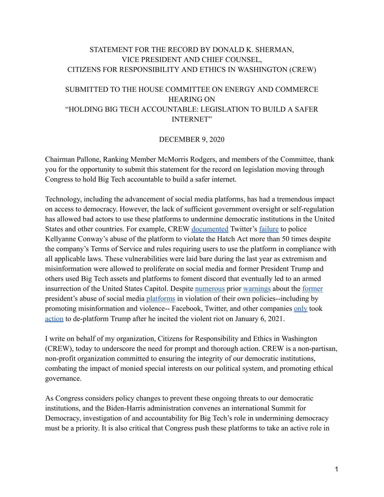### STATEMENT FOR THE RECORD BY DONALD K. SHERMAN, VICE PRESIDENT AND CHIEF COUNSEL, CITIZENS FOR RESPONSIBILITY AND ETHICS IN WASHINGTON (CREW)

## SUBMITTED TO THE HOUSE COMMITTEE ON ENERGY AND COMMERCE HEARING ON "HOLDING BIG TECH ACCOUNTABLE: LEGISLATION TO BUILD A SAFER INTERNET"

#### DECEMBER 9, 2020

Chairman Pallone, Ranking Member McMorris Rodgers, and members of the Committee, thank you for the opportunity to submit this statement for the record on legislation moving through Congress to hold Big Tech accountable to build a safer internet.

Technology, including the advancement of social media platforms, has had a tremendous impact on access to democracy. However, the lack of sufficient government oversight or self-regulation has allowed bad actors to use these platforms to undermine democratic institutions in the United States and other countries. For example, CREW [documented](https://www.citizensforethics.org/reports-investigations/crew-reports/kellyanne-conway-eclipses-50-hatch-act-violations-on-twitter/) Twitter's [failure](https://www.warren.senate.gov/newsroom/press-releases/warren-releases-new-report-lawlessness-and-disorder-the-corrupt-trump-administration-has-made-a-mockery-of-the-hatch-act) to police Kellyanne Conway's abuse of the platform to violate the Hatch Act more than 50 times despite the company's Terms of Service and rules requiring users to use the platform in compliance with all applicable laws. These vulnerabilities were laid bare during the last year as extremism and misinformation were allowed to proliferate on social media and former President Trump and others used Big Tech assets and platforms to foment discord that eventually led to an armed insurrection of the United States Capitol. Despite [numerous](https://time.com/5906854/facebook-twitter-election-day/) prior [warnings](https://www.brookings.edu/blog/techtank/2020/12/02/how-should-facebook-and-twitter-handle-trump-after-he-leaves-office/) about the [former](https://www.forbes.com/sites/jackbrewster/2020/12/03/twitter-confirms-trump-could-be-banned-after-inauguration-day-for-repeated-violations/?sh=30d1e06176f9) president's abuse of social media [platforms](https://www.politico.com/story/2016/12/trump-twitter-national-security-232518) in violation of their own policies--including by promoting misinformation and violence-- Facebook, Twitter, and other companies [only](https://time.com/5927398/facebook-twitter-trump-suspension-capitol/) took [action](https://www.vox.com/recode/22221543/twitter-suspended-trump-account-permanent-ban) to de-platform Trump after he incited the violent riot on January 6, 2021.

I write on behalf of my organization, Citizens for Responsibility and Ethics in Washington (CREW), today to underscore the need for prompt and thorough action. CREW is a non-partisan, non-profit organization committed to ensuring the integrity of our democratic institutions, combating the impact of monied special interests on our political system, and promoting ethical governance.

As Congress considers policy changes to prevent these ongoing threats to our democratic institutions, and the Biden-Harris administration convenes an international Summit for Democracy, investigation of and accountability for Big Tech's role in undermining democracy must be a priority. It is also critical that Congress push these platforms to take an active role in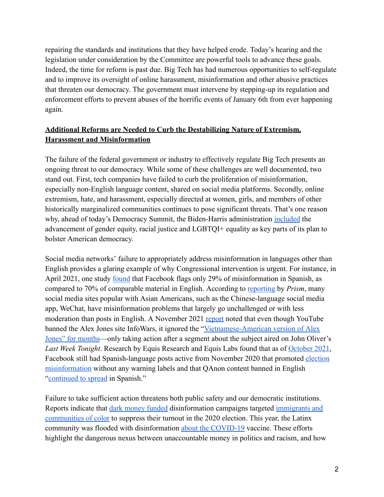repairing the standards and institutions that they have helped erode. Today's hearing and the legislation under consideration by the Committee are powerful tools to advance these goals. Indeed, the time for reform is past due. Big Tech has had numerous opportunities to self-regulate and to improve its oversight of online harassment, misinformation and other abusive practices that threaten our democracy. The government must intervene by stepping-up its regulation and enforcement efforts to prevent abuses of the horrific events of January 6th from ever happening again.

# **Additional Reforms are Needed to Curb the Destabilizing Nature of Extremism, Harassment and Misinformation**

The failure of the federal government or industry to effectively regulate Big Tech presents an ongoing threat to our democracy. While some of these challenges are well documented, two stand out. First, tech companies have failed to curb the proliferation of misinformation, especially non-English language content, shared on social media platforms. Secondly, online extremism, hate, and harassment, especially directed at women, girls, and members of other historically marginalized communities continues to pose significant threats. That's one reason why, ahead of today's Democracy Summit, the Biden-Harris administration [included](https://www.whitehouse.gov/briefing-room/statements-releases/2021/12/08/fact-sheet-the-biden-harris-administration-is-taking-action-to-restore-and-strengthen-american-democracy/) the advancement of gender equity, racial justice and LGBTQI+ equality as key parts of its plan to bolster American democracy.

Social media networks' failure to appropriately address misinformation in languages other than English provides a glaring example of why Congressional intervention is urgent. For instance, in April 2021, one study [found](https://www.marketplace.org/shows/marketplace-tech/disinformation-fight-language-gap/) that Facebook flags only 29% of misinformation in Spanish, as compared to 70% of comparable material in English. According to [reporting](https://prismreports.org/2021/05/26/social-media-sites-often-used-by-asian-americans-have-a-big-problem-with-right-wing-misinformation/) by *Prism*, many social media sites popular with Asian Americans, such as the Chinese-language social media app, WeChat, have misinformation problems that largely go unchallenged or with less moderation than posts in English. A November 2021 [report](https://prismreports.org/2021/11/02/facebook-and-youtubes-refusal-to-moderate-misinformation-in-global-languages-harms-communities-of-color/) noted that even though YouTube banned the Alex Jones site InfoWars, it ignored the "[Vietnamese-American version of Alex](https://www.buzzfeednews.com/article/katejohnston2/vietnamese-american-youtube-misinformation-covid-vaccine) [Jones" for months](https://www.buzzfeednews.com/article/katejohnston2/vietnamese-american-youtube-misinformation-covid-vaccine)—only taking action after a segment about the subject aired on John Oliver's *Last Week Tonight*. Research by Equis Research and Equis Labs found that as of [October 2021,](https://www.washingtonpost.com/outlook/2021/10/28/misinformation-spanish-facebook-social-media/) Facebook still had Spanish-language posts active from November 2020 that promoted [election](https://www.facebook.com/477749739276858/posts/1268264170225407) [misinformation](https://www.facebook.com/477749739276858/posts/1268264170225407) without any warning labels and that QAnon content banned in English ["continued to spread](https://www.vice.com/en/article/epdngk/spanish-language-qanon-accounts-spread-pro-trump-misinformation-in-florida) in Spanish."

Failure to take sufficient action threatens both public safety and our democratic institutions. Reports indicate that [dark money funded](https://www.opensecrets.org/news/2020/05/dark-money-networks-fake-news-sites/) disinformation campaigns targeted [immigrants and](https://www.nbcnews.com/tech/security/digital-vote-suppression-efforts-are-targeting-marginalized-groups-report-warns-n1239133) [communities of color](https://www.nbcnews.com/tech/security/digital-vote-suppression-efforts-are-targeting-marginalized-groups-report-warns-n1239133) to suppress their turnout in the 2020 election. This year, the Latinx community was flooded with disinformation [about the COVID-19](https://prismreports.org/2021/01/15/community-advocates-work-to-combat-spanish-language-misinformation/) vaccine. These efforts highlight the dangerous nexus between unaccountable money in politics and racism, and how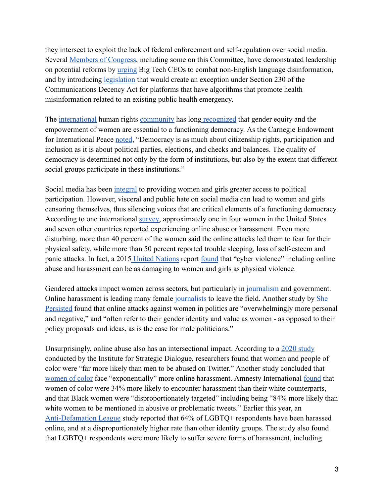they intersect to exploit the lack of federal enforcement and self-regulation over social media. Several [Members of Congress,](https://thehill.com/policy/technology/565637-democrats-urge-tech-ceos-to-combat-spanish-disinformation) including some on this Committee, have demonstrated leadership on potential reforms by [urging](https://www.lujan.senate.gov/press-releases/lujan-klobuchar-cardenas-lead-colleagues-urging-tech-ceos-to-combat-spanish-language-disinformation/) Big Tech CEOs to combat non-English language disinformation, and by introducing [legislation](https://thehill.com/policy/technology/564395-klobuchar-bill-would-hold-online-platforms-accountable-for-misinformation) that would create an exception under Section 230 of the Communications Decency Act for platforms that have algorithms that promote health misinformation related to an existing public health emergency.

The [international](https://www.justsecurity.org/75681/gender-equality-is-fundamental-to-promoting-democracy/) human rights [community](https://nimd.org/why-true-democracy-cannot-exist-without-gender-equality/) has long [recognized](https://carnegieendowment.org/sada/21226) that gender equity and the empowerment of women are essential to a functioning democracy. As the Carnegie Endowment for International Peace [noted,](https://carnegieendowment.org/sada/21226) "Democracy is as much about citizenship rights, participation and inclusion as it is about political parties, elections, and checks and balances. The quality of democracy is determined not only by the form of institutions, but also by the extent that different social groups participate in these institutions."

Social media has been [integral](https://medium.com/@representwomen/social-media-is-a-powerful-platform-for-both-women-in-politics-and-their-harassers-8ccef7926cba) to providing women and girls greater access to political participation. However, visceral and public hate on social media can lead to women and girls censoring themselves, thus silencing voices that are critical elements of a functioning democracy. According to one international [survey,](https://www.voanews.com/a/online-abuse-harassment-effect-on-women-girls/4126132.html) approximately one in four women in the United States and seven other countries reported experiencing online abuse or harassment. Even more disturbing, more than 40 percent of the women said the online attacks led them to fear for their physical safety, while more than 50 percent reported trouble sleeping, loss of self-esteem and panic attacks. In fact, a 2015 [United Nations](https://broadband.itu.int/publication/cyber-violence-against-women/) report [found](https://time.com/4049106/un-cyber-violence-physical-violence/?amp=true) that "cyber violence" including online abuse and harassment can be as damaging to women and girls as physical violence.

Gendered attacks impact women across sectors, but particularly in [journalism](https://www.washingtonpost.com/lifestyle/media/online-harassment-female-journalists/2021/03/13/ed24b0aa-82aa-11eb-ac37-4383f7709abe_story.html) and government. Online harassment is leading many female [journalists](https://www.washingtonpost.com/lifestyle/media/online-harassment-female-journalists/2021/03/13/ed24b0aa-82aa-11eb-ac37-4383f7709abe_story.html) to leave the field. Another study by [She](https://www.she-persisted.org/research) [Persisted](https://www.she-persisted.org/research) found that online attacks against women in politics are "overwhelmingly more personal and negative," and "often refer to their gender identity and value as women - as opposed to their policy proposals and ideas, as is the case for male politicians."

Unsurprisingly, online abuse also has an intersectional impact. According to a [2020 study](https://www.technologyreview.com/2020/10/06/1009406/twitter-facebook-online-harassment-politicians/) conducted by the Institute for Strategic Dialogue, researchers found that women and people of color were "far more likely than men to be abused on Twitter." Another study concluded that [women of color](https://www.essence.com/news/black-women-twitter-harassment/) face "exponentially" more online harassment. Amnesty International [found](https://decoders.amnesty.org/projects/troll-patrol/findings) that women of color were 34% more likely to encounter harassment than their white counterparts, and that Black women were "disproportionately targeted" including being "84% more likely than white women to be mentioned in abusive or problematic tweets." Earlier this year, a[n](https://www.adl.org/online-hate-2021) [Anti-Defamation League](https://www.adl.org/online-hate-2021) study reported that 64% of LGBTQ+ respondents have been harassed online, and at a disproportionately higher rate than other identity groups. The study also found that LGBTQ+ respondents were more likely to suffer severe forms of harassment, including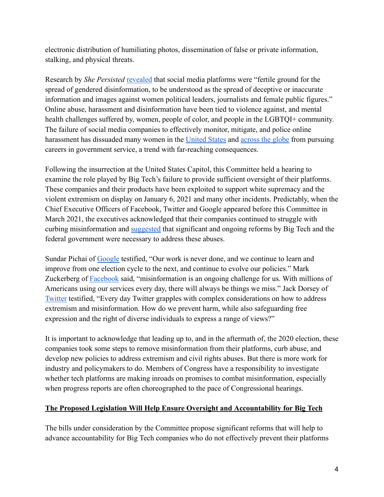electronic distribution of humiliating photos, dissemination of false or private information, stalking, and physical threats.

Research by *She Persisted* [revealed](https://www.she-persisted.org/research) that social media platforms were "fertile ground for the spread of gendered disinformation, to be understood as the spread of deceptive or inaccurate information and images against women political leaders, journalists and female public figures." Online abuse, harassment and disinformation have been tied to violence against, and mental health challenges suffered by, women, people of color, and people in the LGBTQI+ community. The failure of social media companies to effectively monitor, mitigate, and police online harassment has dissuaded many women in the [United States](https://www.axios.com/women-politicians-under-siege-threats-dd8a87d3-96a0-48eb-ba76-6d3399c7a0d1.html) and [across the globe](https://www.theguardian.com/world/2016/oct/12/julia-gillard-says-online-abuse-deters-women-from-political-careers) from pursuing careers in government service, a trend with far-reaching consequences.

Following the insurrection at the United States Capitol, this Committee held a hearing to examine the role played by Big Tech's failure to provide sufficient oversight of their platforms. These companies and their products have been exploited to support white supremacy and the violent extremism on display on January 6, 2021 and many other incidents. Predictably, when the Chief Executive Officers of Facebook, Twitter and Google appeared before this Committee in March 2021, the executives acknowledged that their companies continued to struggle with curbing misinformation and [suggested](https://energycommerce.house.gov/committee-activity/hearings/hearing-on-disinformation-nation-social-medias-role-in-promoting) that significant and ongoing reforms by Big Tech and the federal government were necessary to address these abuses.

Sundar Pichai of [Google](https://energycommerce.house.gov/sites/democrats.energycommerce.house.gov/files/documents/Witness%20Testimony_Pichai_CAT_CPC_2021.03.25.pdf) testified, "Our work is never done, and we continue to learn and improve from one election cycle to the next, and continue to evolve our policies." Mark Zuckerberg of **[Facebook](https://energycommerce.house.gov/sites/democrats.energycommerce.house.gov/files/documents/Witness%20Testimony_Zuckerberg_CAT_CPC_2021.03.25.pdf)** said, "misinformation is an ongoing challenge for us. With millions of Americans using our services every day, there will always be things we miss." Jack Dorsey of [Twitter](https://energycommerce.house.gov/sites/democrats.energycommerce.house.gov/files/documents/Witness_Testimony_Dorsey_CAT_CPC_2021.03.25.pdf) testified, "Every day Twitter grapples with complex considerations on how to address extremism and misinformation. How do we prevent harm, while also safeguarding free expression and the right of diverse individuals to express a range of views?"

It is important to acknowledge that leading up to, and in the aftermath of, the 2020 election, these companies took some steps to remove misinformation from their platforms, curb abuse, and develop new policies to address extremism and civil rights abuses. But there is more work for industry and policymakers to do. Members of Congress have a responsibility to investigate whether tech platforms are making inroads on promises to combat misinformation, especially when progress reports are often choreographed to the pace of Congressional hearings.

### **The Proposed Legislation Will Help Ensure Oversight and Accountability for Big Tech**

The bills under consideration by the Committee propose significant reforms that will help to advance accountability for Big Tech companies who do not effectively prevent their platforms